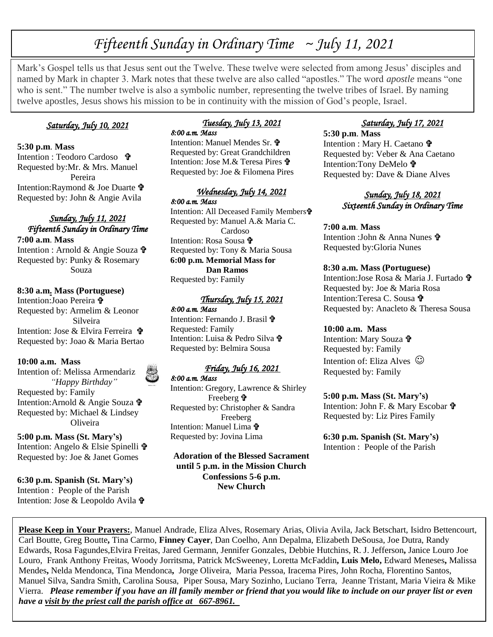# *Fifteenth Sunday in Ordinary Time ~ July 11, 2021*

Mark's Gospel tells us that Jesus sent out the Twelve. These twelve were selected from among Jesus' disciples and named by Mark in chapter 3. Mark notes that these twelve are also called "apostles." The word *apostle* means "one who is sent." The number twelve is also a symbolic number, representing the twelve tribes of Israel. By naming twelve apostles, Jesus shows his mission to be in continuity with the mission of God's people, Israel.

## *Saturday, July 10, 2021*

**5:30 p.m**. **Mass** Intention : Teodoro Cardoso **t** Requested by:Mr. & Mrs. Manuel Pereira Intention:Raymond & Joe Duarte Requested by: John & Angie Avila

# *Sunday, July 11, 2021 Fifteenth Sunday in Ordinary Time*

**7:00 a.m**. **Mass** Intention : Arnold & Angie Souza Requested by: Punky & Rosemary Souza

#### **8:30 a.m. Mass (Portuguese)**

Intention:Joao Pereira Requested by: Armelim & Leonor Silveira Intention: Jose & Elvira Ferreira Requested by: Joao & Maria Bertao

#### **10:00 a.m. Mass**

Intention of: Melissa Armendariz  *"Happy Birthday"* Requested by: Family Intention:Arnold & Angie Souza Requested by: Michael & Lindsey Oliveira

**5:00 p.m. Mass (St. Mary's)** Intention: Angelo & Elsie Spinelli Requested by: Joe & Janet Gomes

**6:30 p.m. Spanish (St. Mary's)** Intention : People of the Parish Intention: Jose & Leopoldo Avila

#### *Tuesday, July 13, 2021 8:00 a.m. Mass*

Intention: Manuel Mendes Sr. Requested by: Great Grandchildren Intention: Jose M.& Teresa Pires Requested by: Joe & Filomena Pires

# *Wednesday, July 14, 2021*

*8:00 a.m. Mass*  Intention: All Deceased Family Members<sup>t</sup> Requested by: Manuel A.& Maria C. Cardoso Intention: Rosa Sousa Requested by: Tony & Maria Sousa **6:00 p.m. Memorial Mass for Dan Ramos**

Requested by: Family

### *Thursday, July 15, 2021*

*8:00 a.m. Mass*  Intention: Fernando J. Brasil Requested: Family Intention: Luisa & Pedro Silva Requested by: Belmira Sousa

#### *Friday, July 16, 2021*

*8:00 a.m. Mass*  Intention: Gregory, Lawrence & Shirley Freeberg  $\mathbf{\hat{v}}$ Requested by: Christopher & Sandra Freeberg Intention: Manuel Lima  $\mathbf{\hat{\mathbf{F}}}$ Requested by: Jovina Lima

**Adoration of the Blessed Sacrament until 5 p.m. in the Mission Church Confessions 5-6 p.m. New Church**

# *Saturday, July 17, 2021*

**5:30 p.m**. **Mass** Intention : Mary H. Caetano **t** Requested by: Veber & Ana Caetano Intention:Tony DeMelo Requested by: Dave & Diane Alves

### *Sunday, July 18, 2021 Sixteenth Sunday in Ordinary Time*

**7:00 a.m**. **Mass** Intention :John & Anna Nunes Requested by:Gloria Nunes

#### **8:30 a.m. Mass (Portuguese)**

Intention:Jose Rosa & Maria J. Furtado Requested by: Joe & Maria Rosa Intention:Teresa C. Sousa Requested by: Anacleto & Theresa Sousa

#### **10:00 a.m. Mass**

Intention: Mary Souza Requested by: Family Intention of: Eliza Alves  $\odot$ Requested by: Family

#### **5:00 p.m. Mass (St. Mary's)** Intention: John F. & Mary Escobar Requested by: Liz Pires Family

**6:30 p.m. Spanish (St. Mary's)** Intention : People of the Parish

**Please Keep in Your Prayers:**, Manuel Andrade, Eliza Alves, Rosemary Arias, Olivia Avila, Jack Betschart, Isidro Bettencourt, Carl Boutte, Greg Boutte**,** Tina Carmo, **Finney Cayer**, Dan Coelho, Ann Depalma, Elizabeth DeSousa, Joe Dutra, Randy Edwards, Rosa Fagundes,Elvira Freitas, Jared Germann, Jennifer Gonzales, Debbie Hutchins, R. J. Jefferson**,** Janice Louro Joe Louro, Frank Anthony Freitas, Woody Jorritsma, Patrick McSweeney, Loretta McFaddin**, Luis Melo,** Edward Meneses**,** Malissa Mendes**,** Nelda Mendonca, Tina Mendonca**,** Jorge Oliveira, Maria Pessoa, Iracema Pires, John Rocha, Florentino Santos, Manuel Silva, Sandra Smith, Carolina Sousa, Piper Sousa, Mary Sozinho, Luciano Terra, Jeanne Tristant, Maria Vieira & Mike Vierra. *Please remember if you have an ill family member or friend that you would like to include on our prayer list or even have a visit by the priest call the parish office at 667-8961.*